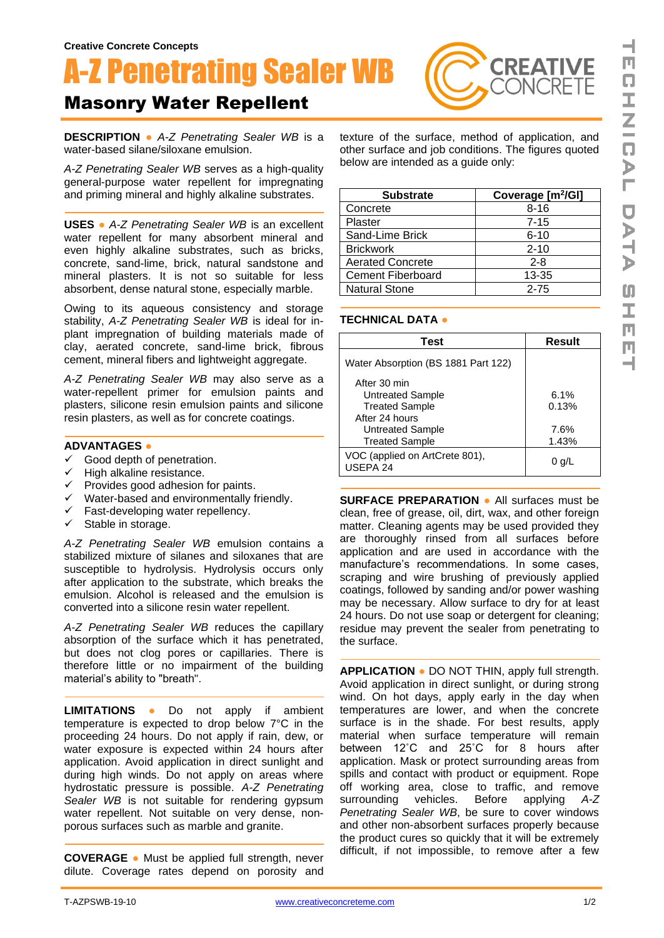# A-Z Penetrating Sealer WB

## Masonry Water Repellent

**DESCRIPTION ●** *A-Z Penetrating Sealer WB* is a water-based silane/siloxane emulsion.

*A-Z Penetrating Sealer WB* serves as a high-quality general-purpose water repellent for impregnating and priming mineral and highly alkaline substrates.

**USES ●** *A-Z Penetrating Sealer WB* is an excellent water repellent for many absorbent mineral and even highly alkaline substrates, such as bricks, concrete, sand-lime, brick, natural sandstone and mineral plasters. It is not so suitable for less absorbent, dense natural stone, especially marble.

Owing to its aqueous consistency and storage stability, *A-Z Penetrating Sealer WB* is ideal for inplant impregnation of building materials made of clay, aerated concrete, sand-lime brick, fibrous cement, mineral fibers and lightweight aggregate.

*A-Z Penetrating Sealer WB* may also serve as a water-repellent primer for emulsion paints and plasters, silicone resin emulsion paints and silicone resin plasters, as well as for concrete coatings.

#### **ADVANTAGES ●**

- $\checkmark$  Good depth of penetration.
- ✓ High alkaline resistance.
- $\checkmark$  Provides good adhesion for paints.
- ✓ Water-based and environmentally friendly.
- ✓ Fast-developing water repellency.
- ✓ Stable in storage.

*A-Z Penetrating Sealer WB* emulsion contains a stabilized mixture of silanes and siloxanes that are susceptible to hydrolysis. Hydrolysis occurs only after application to the substrate, which breaks the emulsion. Alcohol is released and the emulsion is converted into a silicone resin water repellent.

*A-Z Penetrating Sealer WB* reduces the capillary absorption of the surface which it has penetrated, but does not clog pores or capillaries. There is therefore little or no impairment of the building material's ability to "breath".

**LIMITATIONS ●** Do not apply if ambient temperature is expected to drop below 7°C in the proceeding 24 hours. Do not apply if rain, dew, or water exposure is expected within 24 hours after application. Avoid application in direct sunlight and during high winds. Do not apply on areas where hydrostatic pressure is possible. *A-Z Penetrating Sealer WB* is not suitable for rendering gypsum water repellent. Not suitable on very dense, nonporous surfaces such as marble and granite.

**COVERAGE ●** Must be applied full strength, never dilute. Coverage rates depend on porosity and

texture of the surface, method of application, and other surface and job conditions. The figures quoted below are intended as a guide only:

**CREATIVE** 

| <b>Substrate</b>        | Coverage [m <sup>2</sup> /GI] |
|-------------------------|-------------------------------|
| Concrete                | $8 - 16$                      |
| Plaster                 | $7 - 15$                      |
| Sand-Lime Brick         | $6 - 10$                      |
| <b>Brickwork</b>        | $2 - 10$                      |
| <b>Aerated Concrete</b> | $2 - 8$                       |
| Cement Fiberboard       | 13-35                         |
| <b>Natural Stone</b>    | $2 - 75$                      |

#### **TECHNICAL DATA ●**

| Test                                                                                                                     | Result                         |
|--------------------------------------------------------------------------------------------------------------------------|--------------------------------|
| Water Absorption (BS 1881 Part 122)                                                                                      |                                |
| After 30 min<br>Untreated Sample<br><b>Treated Sample</b><br>After 24 hours<br>Untreated Sample<br><b>Treated Sample</b> | 6.1%<br>0.13%<br>7.6%<br>1.43% |
| VOC (applied on ArtCrete 801),<br>USEPA 24                                                                               | 0 q/L                          |
|                                                                                                                          |                                |

**SURFACE PREPARATION ●** All surfaces must be clean, free of grease, oil, dirt, wax, and other foreign matter. Cleaning agents may be used provided they are thoroughly rinsed from all surfaces before application and are used in accordance with the manufacture's recommendations. In some cases, scraping and wire brushing of previously applied coatings, followed by sanding and/or power washing may be necessary. Allow surface to dry for at least 24 hours. Do not use soap or detergent for cleaning; residue may prevent the sealer from penetrating to the surface.

**APPLICATION ●** DO NOT THIN, apply full strength. Avoid application in direct sunlight, or during strong wind. On hot days, apply early in the day when temperatures are lower, and when the concrete surface is in the shade. For best results, apply material when surface temperature will remain between 12˚C and 25˚C for 8 hours after application. Mask or protect surrounding areas from spills and contact with product or equipment. Rope off working area, close to traffic, and remove surrounding vehicles. Before applying *A-Z Penetrating Sealer WB*, be sure to cover windows and other non-absorbent surfaces properly because the product cures so quickly that it will be extremely difficult, if not impossible, to remove after a few